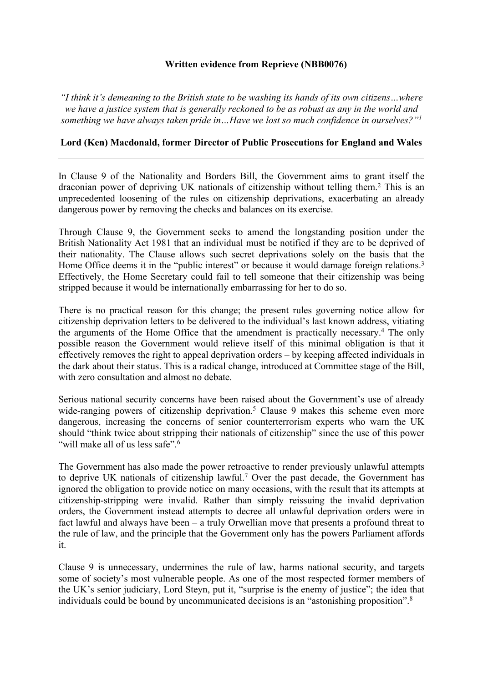# **Written evidence from Reprieve (NBB0076)**

*"I think it's demeaning to the British state to be washing its hands of its own citizens…where we have a justice system that is generally reckoned to be as robust as any in the world and something we have always taken pride in…Have we lost so much confidence in ourselves?"<sup>1</sup>*

# **Lord (Ken) Macdonald, former Director of Public Prosecutions for England and Wales**

In Clause 9 of the Nationality and Borders Bill, the Government aims to grant itself the draconian power of depriving UK nationals of citizenship without telling them.<sup>2</sup> This is an unprecedented loosening of the rules on citizenship deprivations, exacerbating an already dangerous power by removing the checks and balances on its exercise.

Through Clause 9, the Government seeks to amend the longstanding position under the British Nationality Act 1981 that an individual must be notified if they are to be deprived of their nationality. The Clause allows such secret deprivations solely on the basis that the Home Office deems it in the "public interest" or because it would damage foreign relations.<sup>3</sup> Effectively, the Home Secretary could fail to tell someone that their citizenship was being stripped because it would be internationally embarrassing for her to do so.

There is no practical reason for this change; the present rules governing notice allow for citizenship deprivation letters to be delivered to the individual's last known address, vitiating the arguments of the Home Office that the amendment is practically necessary.<sup>4</sup> The only possible reason the Government would relieve itself of this minimal obligation is that it effectively removes the right to appeal deprivation orders – by keeping affected individuals in the dark about their status. This is a radical change, introduced at Committee stage of the Bill, with zero consultation and almost no debate.

Serious national security concerns have been raised about the Government's use of already wide-ranging powers of citizenship deprivation.<sup>5</sup> Clause 9 makes this scheme even more dangerous, increasing the concerns of senior counterterrorism experts who warn the UK should "think twice about stripping their nationals of citizenship" since the use of this power "will make all of us less safe".<sup>6</sup>

The Government has also made the power retroactive to render previously unlawful attempts to deprive UK nationals of citizenship lawful.<sup>7</sup> Over the past decade, the Government has ignored the obligation to provide notice on many occasions, with the result that its attempts at citizenship-stripping were invalid. Rather than simply reissuing the invalid deprivation orders, the Government instead attempts to decree all unlawful deprivation orders were in fact lawful and always have been – a truly Orwellian move that presents a profound threat to the rule of law, and the principle that the Government only has the powers Parliament affords it.

Clause 9 is unnecessary, undermines the rule of law, harms national security, and targets some of society's most vulnerable people. As one of the most respected former members of the UK's senior judiciary, Lord Steyn, put it, "surprise is the enemy of justice"; the idea that individuals could be bound by uncommunicated decisions is an "astonishing proposition".<sup>8</sup>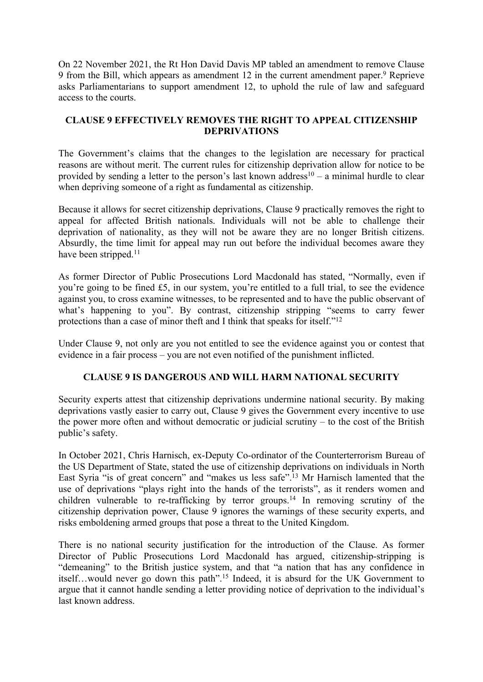On 22 November 2021, the Rt Hon David Davis MP tabled an amendment to remove Clause 9 from the Bill, which appears as amendment 12 in the current amendment paper.<sup>9</sup> Reprieve asks Parliamentarians to support amendment 12, to uphold the rule of law and safeguard access to the courts.

# **CLAUSE 9 EFFECTIVELY REMOVES THE RIGHT TO APPEAL CITIZENSHIP DEPRIVATIONS**

The Government's claims that the changes to the legislation are necessary for practical reasons are without merit. The current rules for citizenship deprivation allow for notice to be provided by sending a letter to the person's last known address<sup>10</sup> – a minimal hurdle to clear when depriving someone of a right as fundamental as citizenship.

Because it allows for secret citizenship deprivations, Clause 9 practically removes the right to appeal for affected British nationals. Individuals will not be able to challenge their deprivation of nationality, as they will not be aware they are no longer British citizens. Absurdly, the time limit for appeal may run out before the individual becomes aware they have been stripped.<sup>11</sup>

As former Director of Public Prosecutions Lord Macdonald has stated, "Normally, even if you're going to be fined £5, in our system, you're entitled to a full trial, to see the evidence against you, to cross examine witnesses, to be represented and to have the public observant of what's happening to you". By contrast, citizenship stripping "seems to carry fewer protections than a case of minor theft and I think that speaks for itself."<sup>12</sup>

Under Clause 9, not only are you not entitled to see the evidence against you or contest that evidence in a fair process – you are not even notified of the punishment inflicted.

# **CLAUSE 9 IS DANGEROUS AND WILL HARM NATIONAL SECURITY**

Security experts attest that citizenship deprivations undermine national security. By making deprivations vastly easier to carry out, Clause 9 gives the Government every incentive to use the power more often and without democratic or judicial scrutiny – to the cost of the British public's safety.

In October 2021, Chris Harnisch, ex-Deputy Co-ordinator of the Counterterrorism Bureau of the US Department of State, stated the use of citizenship deprivations on individuals in North East Syria "is of great concern" and "makes us less safe".<sup>13</sup> Mr Harnisch lamented that the use of deprivations "plays right into the hands of the terrorists", as it renders women and children vulnerable to re-trafficking by terror groups.<sup>14</sup> In removing scrutiny of the citizenship deprivation power, Clause 9 ignores the warnings of these security experts, and risks emboldening armed groups that pose a threat to the United Kingdom.

There is no national security justification for the introduction of the Clause. As former Director of Public Prosecutions Lord Macdonald has argued, citizenship-stripping is "demeaning" to the British justice system, and that "a nation that has any confidence in itself…would never go down this path".<sup>15</sup> Indeed, it is absurd for the UK Government to argue that it cannot handle sending a letter providing notice of deprivation to the individual's last known address.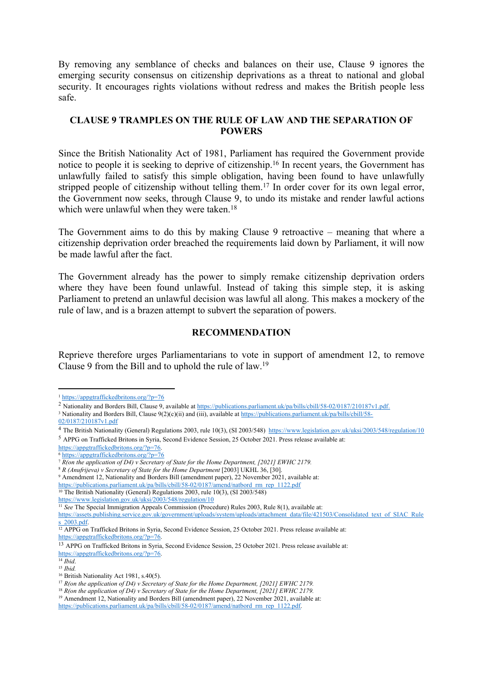By removing any semblance of checks and balances on their use, Clause 9 ignores the emerging security consensus on citizenship deprivations as a threat to national and global security. It encourages rights violations without redress and makes the British people less safe.

#### **CLAUSE 9 TRAMPLES ON THE RULE OF LAW AND THE SEPARATION OF POWERS**

Since the British Nationality Act of 1981, Parliament has required the Government provide notice to people it is seeking to deprive of citizenship.<sup>16</sup> In recent years, the Government has unlawfully failed to satisfy this simple obligation, having been found to have unlawfully stripped people of citizenship without telling them.<sup>17</sup> In order cover for its own legal error, the Government now seeks, through Clause 9, to undo its mistake and render lawful actions which were unlawful when they were taken.<sup>18</sup>

The Government aims to do this by making Clause 9 retroactive – meaning that where a citizenship deprivation order breached the requirements laid down by Parliament, it will now be made lawful after the fact.

The Government already has the power to simply remake citizenship deprivation orders where they have been found unlawful. Instead of taking this simple step, it is asking Parliament to pretend an unlawful decision was lawful all along. This makes a mockery of the rule of law, and is a brazen attempt to subvert the separation of powers.

#### **RECOMMENDATION**

Reprieve therefore urges Parliamentarians to vote in support of amendment 12, to remove Clause 9 from the Bill and to uphold the rule of law.<sup>19</sup>

<sup>1</sup> <https://appgtraffickedbritons.org/?p=76>

<sup>&</sup>lt;sup>2</sup> Nationality and Borders Bill, Clause 9, available at [https://publications.parliament.uk/pa/bills/cbill/58-02/0187/210187v1.pdf.](https://publications.parliament.uk/pa/bills/cbill/58-02/0187/210187v1.pdf)

<sup>3</sup> Nationality and Borders Bill, Clause 9(2)(c)(ii) and (iii), available at [https://publications.parliament.uk/pa/bills/cbill/58-](https://publications.parliament.uk/pa/bills/cbill/58-02/0187/210187v1.pdf) [02/0187/210187v1.pdf](https://publications.parliament.uk/pa/bills/cbill/58-02/0187/210187v1.pdf)

<sup>4</sup> The British Nationality (General) Regulations 2003, rule 10(3), (SI 2003/548) <https://www.legislation.gov.uk/uksi/2003/548/regulation/10> <sup>5</sup> APPG on Trafficked Britons in Syria, Second Evidence Session, 25 October 2021. Press release available at:

[https://appgtraffickedbritons.org/?p=76.](https://appgtraffickedbritons.org/?p=76)

<sup>6</sup> <https://appgtraffickedbritons.org/?p=76>

<sup>7</sup> *R(on the application of D4) v Secretary of State for the Home Department, [2021] EWHC 2179.*

<sup>8</sup> *R (Anufrijeva) v Secretary of State for the Home Department* [\[2003\]](https://www.bailii.org/uk/cases/UKHL/2003/36.html) [UKHL](https://www.bailii.org/uk/cases/UKHL/2003/36.html) [36,](https://www.bailii.org/uk/cases/UKHL/2003/36.html) [30].

<sup>9</sup> Amendment 12, Nationality and Borders Bill (amendment paper), 22 November 2021, available at:

[https://publications.parliament.uk/pa/bills/cbill/58-02/0187/amend/natbord\\_rm\\_rep\\_1122.pdf](https://publications.parliament.uk/pa/bills/cbill/58-02/0187/amend/natbord_rm_rep_1122.pdf)

<sup>10</sup> The British Nationality (General) Regulations 2003, rule 10(3), (SI 2003/548)

<https://www.legislation.gov.uk/uksi/2003/548/regulation/10>

<sup>&</sup>lt;sup>11</sup> See The Special Immigration Appeals Commission (Procedure) Rules 2003, Rule 8(1), available at:

[https://assets.publishing.service.gov.uk/government/uploads/system/uploads/attachment\\_data/file/421503/Consolidated\\_text\\_of\\_SIAC\\_Rule](https://assets.publishing.service.gov.uk/government/uploads/system/uploads/attachment_data/file/421503/Consolidated_text_of_SIAC_Rules_2003.pdf) s 2003.pdf.

<sup>12</sup> APPG on Trafficked Britons in Syria, Second Evidence Session, 25 October 2021. Press release available at: [https://appgtraffickedbritons.org/?p=76.](https://appgtraffickedbritons.org/?p=76)

<sup>&</sup>lt;sup>13</sup> APPG on Trafficked Britons in Syria, Second Evidence Session, 25 October 2021. Press release available at: [https://appgtraffickedbritons.org/?p=76.](https://appgtraffickedbritons.org/?p=76)

<sup>14</sup> *Ibid*.

<sup>15</sup> *Ibid.*

<sup>16</sup> British Nationality Act 1981, s.40(5).

<sup>17</sup> *R(on the application of D4) v Secretary of State for the Home Department, [2021] EWHC 2179.*

<sup>18</sup> *R(on the application of D4) v Secretary of State for the Home Department, [2021] EWHC 2179.*

<sup>19</sup> Amendment 12, Nationality and Borders Bill (amendment paper), 22 November 2021, available at:

[https://publications.parliament.uk/pa/bills/cbill/58-02/0187/amend/natbord\\_rm\\_rep\\_1122.pdf.](https://publications.parliament.uk/pa/bills/cbill/58-02/0187/amend/natbord_rm_rep_1122.pdf)